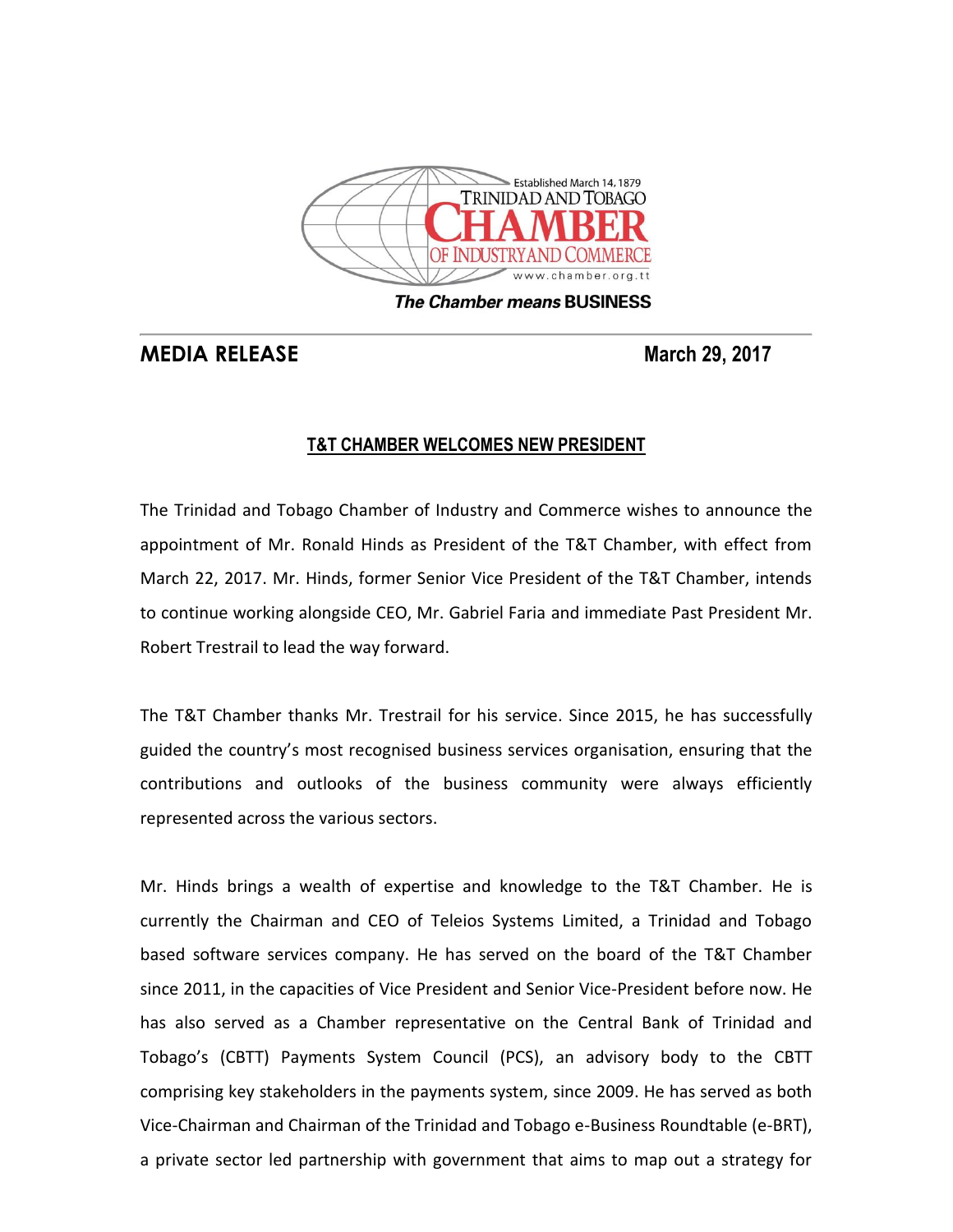

**The Chamber means BUSINESS** 

## **MEDIA RELEASE March 29, 2017**

## **T&T CHAMBER WELCOMES NEW PRESIDENT**

The Trinidad and Tobago Chamber of Industry and Commerce wishes to announce the appointment of Mr. Ronald Hinds as President of the T&T Chamber, with effect from March 22, 2017. Mr. Hinds, former Senior Vice President of the T&T Chamber, intends to continue working alongside CEO, Mr. Gabriel Faria and immediate Past President Mr. Robert Trestrail to lead the way forward.

The T&T Chamber thanks Mr. Trestrail for his service. Since 2015, he has successfully guided the country's most recognised business services organisation, ensuring that the contributions and outlooks of the business community were always efficiently represented across the various sectors.

Mr. Hinds brings a wealth of expertise and knowledge to the T&T Chamber. He is currently the Chairman and CEO of Teleios Systems Limited, a Trinidad and Tobago based software services company. He has served on the board of the T&T Chamber since 2011, in the capacities of Vice President and Senior Vice-President before now. He has also served as a Chamber representative on the Central Bank of Trinidad and Tobago's (CBTT) Payments System Council (PCS), an advisory body to the CBTT comprising key stakeholders in the payments system, since 2009. He has served as both Vice-Chairman and Chairman of the Trinidad and Tobago e-Business Roundtable (e-BRT), a private sector led partnership with government that aims to map out a strategy for